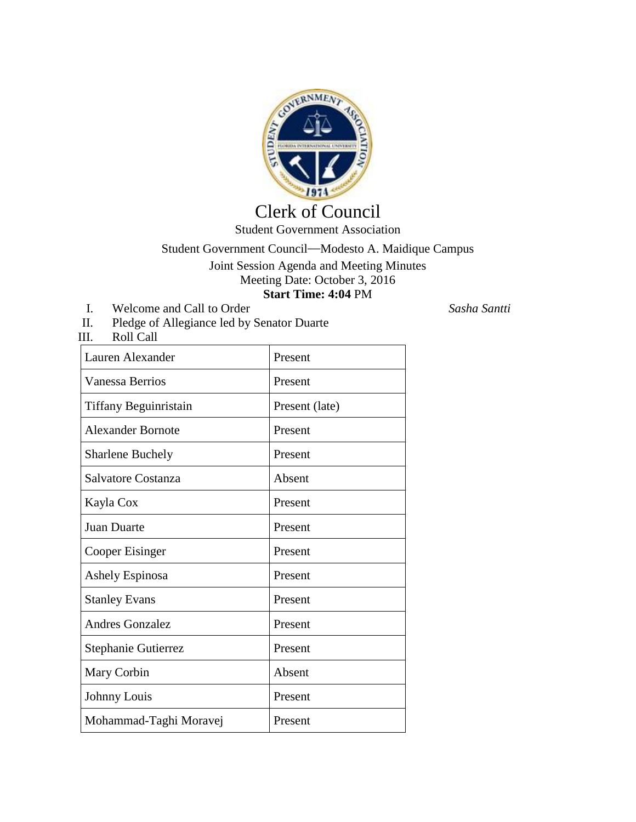

## Clerk of Council Student Government Association

## Student Government Council—Modesto A. Maidique Campus Joint Session Agenda and Meeting Minutes Meeting Date: October 3, 2016 **Start Time: 4:04** PM

- I. Welcome and Call to Order *Sasha Santti*
- II. Pledge of Allegiance led by Senator Duarte

Roll Call

| Lauren Alexander         | Present        |
|--------------------------|----------------|
| <b>Vanessa Berrios</b>   | Present        |
| Tiffany Beguinristain    | Present (late) |
| <b>Alexander Bornote</b> | Present        |
| <b>Sharlene Buchely</b>  | Present        |
| Salvatore Costanza       | Absent         |
| Kayla Cox                | Present        |
| <b>Juan Duarte</b>       | Present        |
| <b>Cooper Eisinger</b>   | Present        |
| Ashely Espinosa          | Present        |
| <b>Stanley Evans</b>     | Present        |
| <b>Andres Gonzalez</b>   | Present        |
| Stephanie Gutierrez      | Present        |
| Mary Corbin              | Absent         |
| Johnny Louis             | Present        |
| Mohammad-Taghi Moravej   | Present        |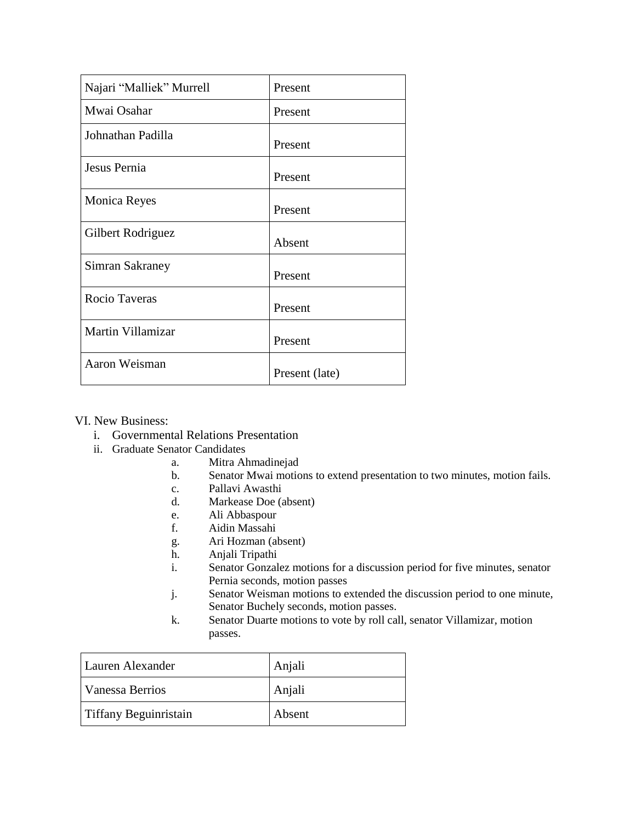| Najari "Malliek" Murrell | Present        |
|--------------------------|----------------|
| Mwai Osahar              | Present        |
| Johnathan Padilla        | Present        |
| Jesus Pernia             | Present        |
| <b>Monica Reyes</b>      | Present        |
| Gilbert Rodriguez        | Absent         |
| Simran Sakraney          | Present        |
| Rocio Taveras            | Present        |
| Martin Villamizar        | Present        |
| Aaron Weisman            | Present (late) |

VI. New Business:

- i. Governmental Relations Presentation
- ii. Graduate Senator Candidates
	- a. Mitra Ahmadinejad
	- b. Senator Mwai motions to extend presentation to two minutes, motion fails.
	- c. Pallavi Awasthi
	- d. Markease Doe (absent)
	- e. Ali Abbaspour
	- f. Aidin Massahi
	- g. Ari Hozman (absent)
	- h. Anjali Tripathi
	- i. Senator Gonzalez motions for a discussion period for five minutes, senator Pernia seconds, motion passes
	- j. Senator Weisman motions to extended the discussion period to one minute, Senator Buchely seconds, motion passes.
	- k. Senator Duarte motions to vote by roll call, senator Villamizar, motion passes.

| Lauren Alexander      | Anjali |
|-----------------------|--------|
| Vanessa Berrios       | Anjali |
| Tiffany Beguinristain | Absent |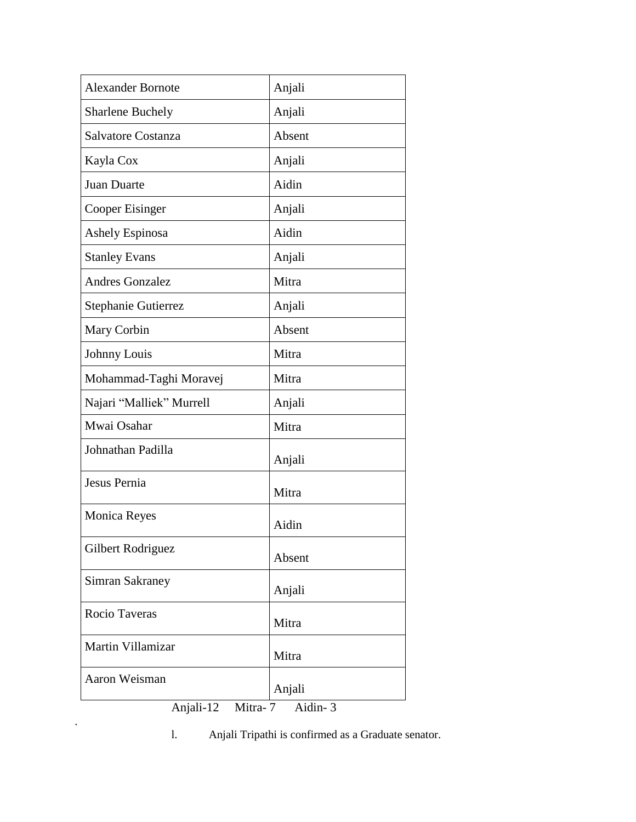| <b>Alexander Bornote</b>     | Anjali |  |
|------------------------------|--------|--|
| <b>Sharlene Buchely</b>      | Anjali |  |
| Salvatore Costanza           | Absent |  |
| Kayla Cox                    | Anjali |  |
| <b>Juan Duarte</b>           | Aidin  |  |
| Cooper Eisinger              | Anjali |  |
| Ashely Espinosa              | Aidin  |  |
| <b>Stanley Evans</b>         | Anjali |  |
| <b>Andres Gonzalez</b>       | Mitra  |  |
| Stephanie Gutierrez          | Anjali |  |
| Mary Corbin                  | Absent |  |
| Johnny Louis                 | Mitra  |  |
| Mohammad-Taghi Moravej       | Mitra  |  |
| Najari "Malliek" Murrell     | Anjali |  |
| Mwai Osahar                  | Mitra  |  |
| Johnathan Padilla            | Anjali |  |
| Jesus Pernia                 | Mitra  |  |
| <b>Monica Reyes</b>          | Aidin  |  |
| Gilbert Rodriguez            | Absent |  |
| Simran Sakraney              | Anjali |  |
| Rocio Taveras                | Mitra  |  |
| Martin Villamizar            | Mitra  |  |
| Aaron Weisman                | Anjali |  |
| Anjali-12 Mitra-7<br>Aidin-3 |        |  |

l. Anjali Tripathi is confirmed as a Graduate senator.

.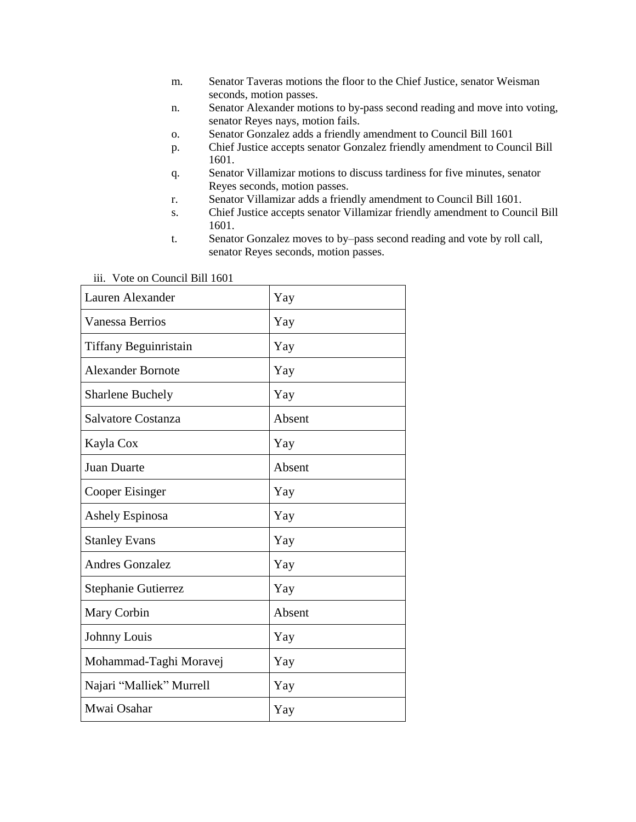- m. Senator Taveras motions the floor to the Chief Justice, senator Weisman seconds, motion passes.
- n. Senator Alexander motions to by-pass second reading and move into voting, senator Reyes nays, motion fails.
- o. Senator Gonzalez adds a friendly amendment to Council Bill 1601
- p. Chief Justice accepts senator Gonzalez friendly amendment to Council Bill 1601.
- q. Senator Villamizar motions to discuss tardiness for five minutes, senator Reyes seconds, motion passes.
- r. Senator Villamizar adds a friendly amendment to Council Bill 1601.
- s. Chief Justice accepts senator Villamizar friendly amendment to Council Bill 1601.
- t. Senator Gonzalez moves to by–pass second reading and vote by roll call, senator Reyes seconds, motion passes.

| Lauren Alexander           | Yay    |
|----------------------------|--------|
| Vanessa Berrios            | Yay    |
| Tiffany Beguinristain      | Yay    |
| <b>Alexander Bornote</b>   | Yay    |
| <b>Sharlene Buchely</b>    | Yay    |
| Salvatore Costanza         | Absent |
| Kayla Cox                  | Yay    |
| Juan Duarte                | Absent |
| Cooper Eisinger            | Yay    |
| Ashely Espinosa            | Yay    |
| <b>Stanley Evans</b>       | Yay    |
| <b>Andres Gonzalez</b>     | Yay    |
| <b>Stephanie Gutierrez</b> | Yay    |
| Mary Corbin                | Absent |
| Johnny Louis               | Yay    |
| Mohammad-Taghi Moravej     | Yay    |
| Najari "Malliek" Murrell   | Yay    |
| Mwai Osahar                | Yay    |

iii. Vote on Council Bill 1601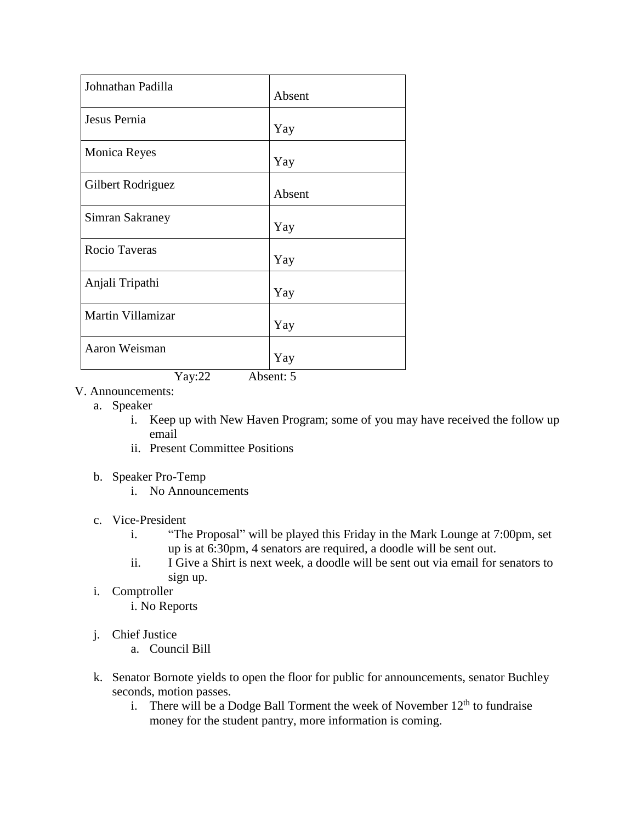| Johnathan Padilla    | Absent |
|----------------------|--------|
| Jesus Pernia         | Yay    |
| <b>Monica Reyes</b>  | Yay    |
| Gilbert Rodriguez    | Absent |
| Simran Sakraney      | Yay    |
| <b>Rocio Taveras</b> | Yay    |
| Anjali Tripathi      | Yay    |
| Martin Villamizar    | Yay    |
| Aaron Weisman        | Yay    |

Yay:22 Absent: 5

- V. Announcements:
	- a. Speaker
		- i. Keep up with New Haven Program; some of you may have received the follow up email
		- ii. Present Committee Positions
	- b. Speaker Pro-Temp
		- i. No Announcements
	- c. Vice-President
		- i. "The Proposal" will be played this Friday in the Mark Lounge at 7:00pm, set up is at 6:30pm, 4 senators are required, a doodle will be sent out.
		- ii. I Give a Shirt is next week, a doodle will be sent out via email for senators to sign up.
	- i. Comptroller

i. No Reports

- j. Chief Justice
	- a. Council Bill
- k. Senator Bornote yields to open the floor for public for announcements, senator Buchley seconds, motion passes.
	- i. There will be a Dodge Ball Torment the week of November  $12<sup>th</sup>$  to fundraise money for the student pantry, more information is coming.